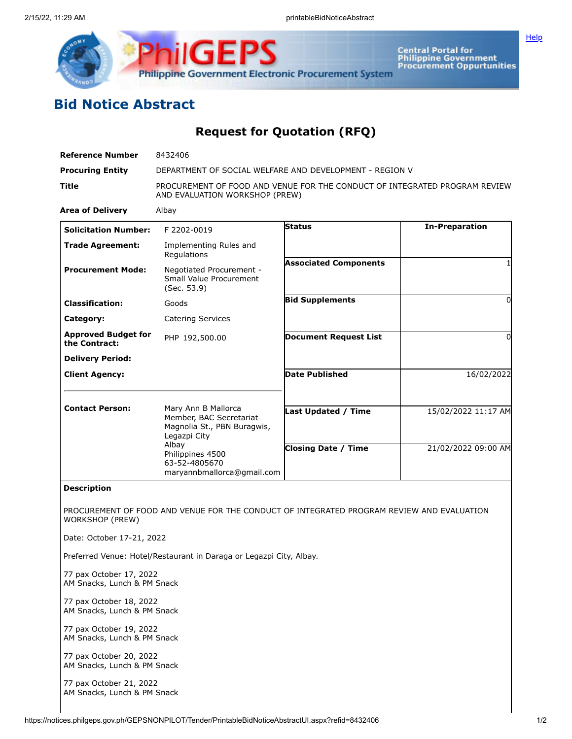

**Central Portal for<br>Philippine Government<br>Procurement Oppurtunities** 

**[Help](javascript:void(window.open()** 

## **Bid Notice Abstract**

## **Request for Quotation (RFQ)**

| <b>Reference Number</b>                                             | 8432406                                                                                                      |                              |                       |
|---------------------------------------------------------------------|--------------------------------------------------------------------------------------------------------------|------------------------------|-----------------------|
| <b>Procuring Entity</b>                                             | DEPARTMENT OF SOCIAL WELFARE AND DEVELOPMENT - REGION V                                                      |                              |                       |
| Title                                                               | PROCUREMENT OF FOOD AND VENUE FOR THE CONDUCT OF INTEGRATED PROGRAM REVIEW<br>AND EVALUATION WORKSHOP (PREW) |                              |                       |
| <b>Area of Delivery</b>                                             | Albay                                                                                                        |                              |                       |
| <b>Solicitation Number:</b>                                         | F 2202-0019                                                                                                  | <b>Status</b>                | <b>In-Preparation</b> |
| <b>Trade Agreement:</b>                                             | Implementing Rules and<br>Regulations                                                                        |                              |                       |
| <b>Procurement Mode:</b>                                            | Negotiated Procurement -<br>Small Value Procurement<br>(Sec. 53.9)                                           | <b>Associated Components</b> |                       |
| <b>Classification:</b>                                              | Goods                                                                                                        | <b>Bid Supplements</b>       | 0                     |
| Category:                                                           | <b>Catering Services</b>                                                                                     |                              |                       |
| <b>Approved Budget for</b><br>the Contract:                         | PHP 192,500.00                                                                                               | <b>Document Request List</b> | 0                     |
| <b>Delivery Period:</b>                                             |                                                                                                              |                              |                       |
| <b>Client Agency:</b>                                               |                                                                                                              | <b>Date Published</b>        | 16/02/2022            |
| <b>Contact Person:</b>                                              | Mary Ann B Mallorca<br>Member, BAC Secretariat<br>Magnolia St., PBN Buragwis,                                | Last Updated / Time          | 15/02/2022 11:17 AM   |
|                                                                     | Legazpi City<br>Albay<br>Philippines 4500<br>63-52-4805670<br>maryannbmallorca@gmail.com                     | <b>Closing Date / Time</b>   | 21/02/2022 09:00 AM   |
| <b>Description</b>                                                  |                                                                                                              |                              |                       |
| <b>WORKSHOP (PREW)</b>                                              | PROCUREMENT OF FOOD AND VENUE FOR THE CONDUCT OF INTEGRATED PROGRAM REVIEW AND EVALUATION                    |                              |                       |
| Date: October 17-21, 2022                                           |                                                                                                              |                              |                       |
| Preferred Venue: Hotel/Restaurant in Daraga or Legazpi City, Albay. |                                                                                                              |                              |                       |
| 77 pax October 17, 2022<br>AM Snacks, Lunch & PM Snack              |                                                                                                              |                              |                       |
| 77 pax October 18, 2022<br>AM Snacks, Lunch & PM Snack              |                                                                                                              |                              |                       |
| 77 pax October 19, 2022<br>AM Snacks, Lunch & PM Snack              |                                                                                                              |                              |                       |
| 77 pax October 20, 2022<br>AM Snacks, Lunch & PM Snack              |                                                                                                              |                              |                       |

77 pax October 21, 2022 AM Snacks, Lunch & PM Snack